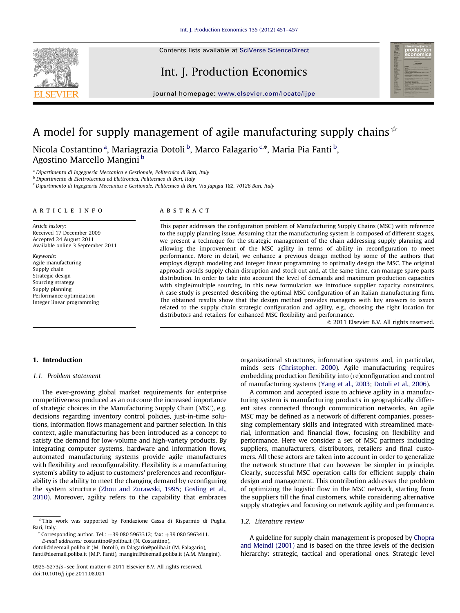Contents lists available at [SciVerse ScienceDirect](www.elsevier.com/locate/ijpe)



Int. J. Production Economics



journal homepage: <www.elsevier.com/locate/ijpe>

# A model for supply management of agile manufacturing supply chains  $\dot{x}$

Nicola Costantino <sup>a</sup>, Mariagrazia Dotoli <sup>b</sup>, Marco Falagario <sup>c,</sup>\*, Maria Pia Fanti <sup>b</sup>, Agostino Marcello Mangini <sup>b</sup>

<sup>a</sup> Dipartimento di Ingegneria Meccanica e Gestionale, Politecnico di Bari, Italy

<sup>b</sup> Dipartimento di Elettrotecnica ed Elettronica, Politecnico di Bari, Italy

<sup>c</sup> Dipartimento di Ingegneria Meccanica e Gestionale, Politecnico di Bari, Via Japigia 182, 70126 Bari, Italy

#### article info

Article history: Received 17 December 2009 Accepted 24 August 2011 Available online 3 September 2011

Keywords: Agile manufacturing Supply chain Strategic design Sourcing strategy Supply planning Performance optimization Integer linear programming

#### **ABSTRACT**

This paper addresses the configuration problem of Manufacturing Supply Chains (MSC) with reference to the supply planning issue. Assuming that the manufacturing system is composed of different stages, we present a technique for the strategic management of the chain addressing supply planning and allowing the improvement of the MSC agility in terms of ability in reconfiguration to meet performance. More in detail, we enhance a previous design method by some of the authors that employs digraph modeling and integer linear programming to optimally design the MSC. The original approach avoids supply chain disruption and stock out and, at the same time, can manage spare parts distribution. In order to take into account the level of demands and maximum production capacities with single/multiple sourcing, in this new formulation we introduce supplier capacity constraints. A case study is presented describing the optimal MSC configuration of an Italian manufacturing firm. The obtained results show that the design method provides managers with key answers to issues related to the supply chain strategic configuration and agility, e.g., choosing the right location for distributors and retailers for enhanced MSC flexibility and performance.

 $\odot$  2011 Elsevier B.V. All rights reserved.

## 1. Introduction

#### 1.1. Problem statement

The ever-growing global market requirements for enterprise competitiveness produced as an outcome the increased importance of strategic choices in the Manufacturing Supply Chain (MSC), e.g. decisions regarding inventory control policies, just-in-time solutions, information flows management and partner selection. In this context, agile manufacturing has been introduced as a concept to satisfy the demand for low-volume and high-variety products. By integrating computer systems, hardware and information flows, automated manufacturing systems provide agile manufactures with flexibility and reconfigurability. Flexibility is a manufacturing system's ability to adjust to customers' preferences and reconfigurability is the ability to meet the changing demand by reconfiguring the system structure [\(Zhou and Zurawski, 1995](#page--1-0); [Gosling et al.,](#page--1-0) [2010](#page--1-0)). Moreover, agility refers to the capability that embraces

 $*$  Corresponding author. Tel.:  $+39\,080\,5963312$ ; fax:  $+39\,080\,5963411$ .

E-mail addresses: [costantino@poliba.it \(N. Costantino\)](mailto:costantino@poliba.it),

[dotoli@deemail.poliba.it \(M. Dotoli\),](mailto:dotoli@deemail.poliba.it) [m.falagario@poliba.it \(M. Falagario\),](mailto:m.falagario@poliba.it) [fanti@deemail.poliba.it \(M.P. Fanti\),](mailto:fanti@deemail.poliba.it) [mangini@deemail.poliba.it \(A.M. Mangini\)](mailto:mangini@deemail.poliba.it). organizational structures, information systems and, in particular, minds sets [\(Christopher, 2000\)](#page--1-0). Agile manufacturing requires embedding production flexibility into (re)configuration and control of manufacturing systems ([Yang et al., 2003](#page--1-0); [Dotoli et al., 2006](#page--1-0)).

A common and accepted issue to achieve agility in a manufacturing system is manufacturing products in geographically different sites connected through communication networks. An agile MSC may be defined as a network of different companies, possessing complementary skills and integrated with streamlined material, information and financial flow, focusing on flexibility and performance. Here we consider a set of MSC partners including suppliers, manufacturers, distributors, retailers and final customers. All these actors are taken into account in order to generalize the network structure that can however be simpler in principle. Clearly, successful MSC operation calls for efficient supply chain design and management. This contribution addresses the problem of optimizing the logistic flow in the MSC network, starting from the suppliers till the final customers, while considering alternative supply strategies and focusing on network agility and performance.

### 1.2. Literature review

A guideline for supply chain management is proposed by [Chopra](#page--1-0) [and Meindl \(2001\)](#page--1-0) and is based on the three levels of the decision hierarchy: strategic, tactical and operational ones. Strategic level

 $*$ This work was supported by Fondazione Cassa di Risparmio di Puglia, Bari, Italy.

<sup>0925-5273/\$ -</sup> see front matter @ 2011 Elsevier B.V. All rights reserved. doi:[10.1016/j.ijpe.2011.08.021](dx.doi.org/10.1016/j.ijpe.2011.08.021)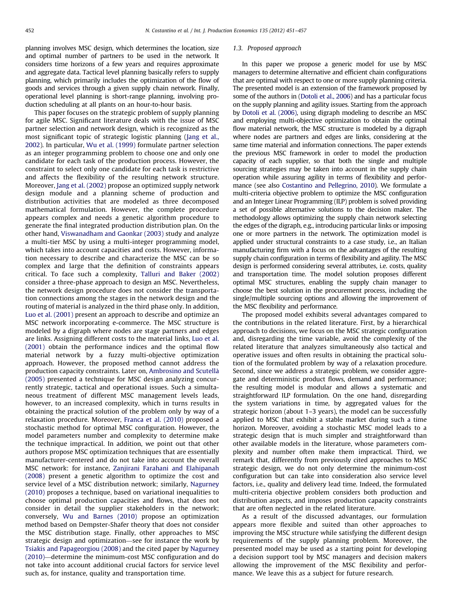planning involves MSC design, which determines the location, size and optimal number of partners to be used in the network. It considers time horizons of a few years and requires approximate and aggregate data. Tactical level planning basically refers to supply planning, which primarily includes the optimization of the flow of goods and services through a given supply chain network. Finally, operational level planning is short-range planning, involving production scheduling at all plants on an hour-to-hour basis.

This paper focuses on the strategic problem of supply planning for agile MSC. Significant literature deals with the issue of MSC partner selection and network design, which is recognized as the most significant topic of strategic logistic planning ([Jang et al.,](#page--1-0) [2002\)](#page--1-0). In particular, [Wu et al. \(1999\)](#page--1-0) formulate partner selection as an integer programming problem to choose one and only one candidate for each task of the production process. However, the constraint to select only one candidate for each task is restrictive and affects the flexibility of the resulting network structure. Moreover, [Jang et al. \(2002\)](#page--1-0) propose an optimized supply network design module and a planning scheme of production and distribution activities that are modeled as three decomposed mathematical formulation. However, the complete procedure appears complex and needs a genetic algorithm procedure to generate the final integrated production distribution plan. On the other hand, [Viswanadham and Gaonkar \(2003\)](#page--1-0) study and analyze a multi-tier MSC by using a multi-integer programming model, which takes into account capacities and costs. However, information necessary to describe and characterize the MSC can be so complex and large that the definition of constraints appears critical. To face such a complexity, [Talluri and Baker \(2002\)](#page--1-0) consider a three-phase approach to design an MSC. Nevertheless, the network design procedure does not consider the transportation connections among the stages in the network design and the routing of material is analyzed in the third phase only. In addition, [Luo et al. \(2001\)](#page--1-0) present an approach to describe and optimize an MSC network incorporating e-commerce. The MSC structure is modeled by a digraph where nodes are stage partners and edges are links. Assigning different costs to the material links, [Luo et al.](#page--1-0) [\(2001\)](#page--1-0) obtain the performance indices and the optimal flow material network by a fuzzy multi-objective optimization approach. However, the proposed method cannot address the production capacity constraints. Later on, [Ambrosino and Scutell](#page--1-0)à [\(2005\)](#page--1-0) presented a technique for MSC design analyzing concurrently strategic, tactical and operational issues. Such a simultaneous treatment of different MSC management levels leads, however, to an increased complexity, which in turns results in obtaining the practical solution of the problem only by way of a relaxation procedure. Moreover, [Franca et al. \(2010\)](#page--1-0) proposed a stochastic method for optimal MSC configuration. However, the model parameters number and complexity to determine make the technique impractical. In addition, we point out that other authors propose MSC optimization techniques that are essentially manufacturer-centered and do not take into account the overall MSC network: for instance, [Zanjirani Farahani and Elahipanah](#page--1-0) [\(2008\)](#page--1-0) present a genetic algorithm to optimize the cost and service level of a MSC distribution network; similarly, [Nagurney](#page--1-0) [\(2010\)](#page--1-0) proposes a technique, based on variational inequalities to choose optimal production capacities and flows, that does not consider in detail the supplier stakeholders in the network; conversely, [Wu and Barnes \(2010\)](#page--1-0) propose an optimization method based on Dempster-Shafer theory that does not consider the MSC distribution stage. Finally, other approaches to MSC strategic design and optimization—see for instance the work by [Tsiakis and Papageorgiou \(2008\)](#page--1-0) and the cited paper by [Nagurney](#page--1-0) [\(2010\)](#page--1-0)—determine the minimum-cost MSC configuration and do not take into account additional crucial factors for service level such as, for instance, quality and transportation time.

#### 1.3. Proposed approach

In this paper we propose a generic model for use by MSC managers to determine alternative and efficient chain configurations that are optimal with respect to one or more supply planning criteria. The presented model is an extension of the framework proposed by some of the authors in [\(Dotoli et al., 2006\)](#page--1-0) and has a particular focus on the supply planning and agility issues. Starting from the approach by [Dotoli et al. \(2006\)](#page--1-0), using digraph modeling to describe an MSC and employing multi-objective optimization to obtain the optimal flow material network, the MSC structure is modeled by a digraph where nodes are partners and edges are links, considering at the same time material and information connections. The paper extends the previous MSC framework in order to model the production capacity of each supplier, so that both the single and multiple sourcing strategies may be taken into account in the supply chain operation while assuring agility in terms of flexibility and performance (see also [Costantino and Pellegrino, 2010\)](#page--1-0). We formulate a multi-criteria objective problem to optimize the MSC configuration and an Integer Linear Programming (ILP) problem is solved providing a set of possible alternative solutions to the decision maker. The methodology allows optimizing the supply chain network selecting the edges of the digraph, e.g., introducing particular links or imposing one or more partners in the network. The optimization model is applied under structural constraints to a case study, i.e., an Italian manufacturing firm with a focus on the advantages of the resulting supply chain configuration in terms of flexibility and agility. The MSC design is performed considering several attributes, i.e. costs, quality and transportation time. The model solution proposes different optimal MSC structures, enabling the supply chain manager to choose the best solution in the procurement process, including the single/multiple sourcing options and allowing the improvement of the MSC flexibility and performance.

The proposed model exhibits several advantages compared to the contributions in the related literature. First, by a hierarchical approach to decisions, we focus on the MSC strategic configuration and, disregarding the time variable, avoid the complexity of the related literature that analyzes simultaneously also tactical and operative issues and often results in obtaining the practical solution of the formulated problem by way of a relaxation procedure. Second, since we address a strategic problem, we consider aggregate and deterministic product flows, demand and performance; the resulting model is modular and allows a systematic and straightforward ILP formulation. On the one hand, disregarding the system variations in time, by aggregated values for the strategic horizon (about 1–3 years), the model can be successfully applied to MSC that exhibit a stable market during such a time horizon. Moreover, avoiding a stochastic MSC model leads to a strategic design that is much simpler and straightforward than other available models in the literature, whose parameters complexity and number often make them impractical. Third, we remark that, differently from previously cited approaches to MSC strategic design, we do not only determine the minimum-cost configuration but can take into consideration also service level factors, i.e., quality and delivery lead time. Indeed, the formulated multi-criteria objective problem considers both production and distribution aspects, and imposes production capacity constraints that are often neglected in the related literature.

As a result of the discussed advantages, our formulation appears more flexible and suited than other approaches to improving the MSC structure while satisfying the different design requirements of the supply planning problem. Moreover, the presented model may be used as a starting point for developing a decision support tool by MSC managers and decision makers allowing the improvement of the MSC flexibility and performance. We leave this as a subject for future research.